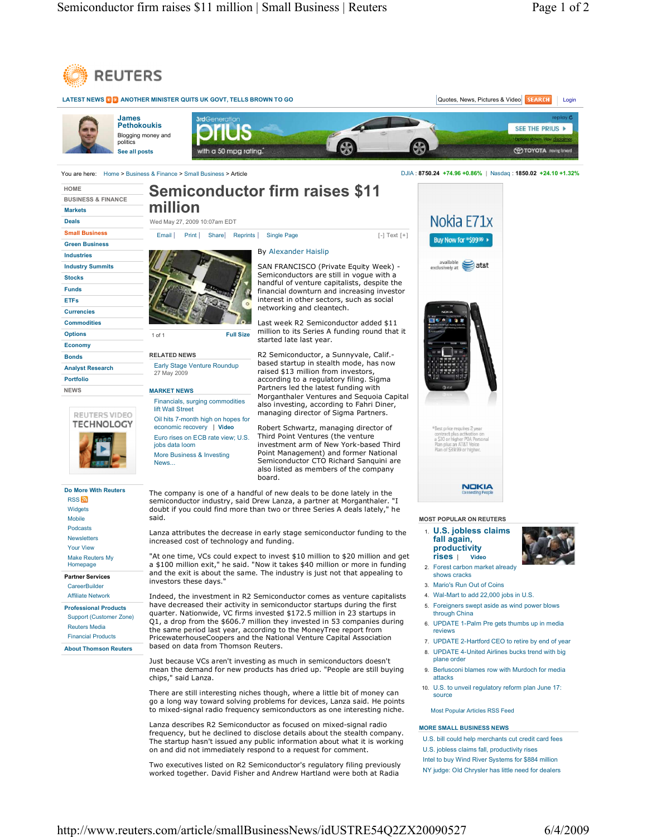